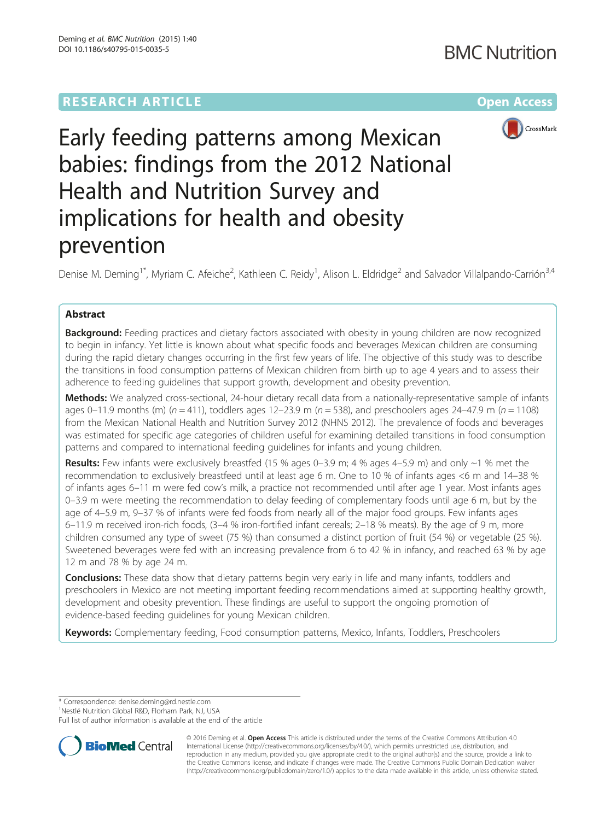## **RESEARCH ARTICLE Example 2008 12:00 PM Access**



# Early feeding patterns among Mexican babies: findings from the 2012 National Health and Nutrition Survey and implications for health and obesity prevention

Denise M. Deming<sup>1\*</sup>, Myriam C. Afeiche<sup>2</sup>, Kathleen C. Reidy<sup>1</sup>, Alison L. Eldridge<sup>2</sup> and Salvador Villalpando-Carrión<sup>3,4</sup>

#### Abstract

**Background:** Feeding practices and dietary factors associated with obesity in young children are now recognized to begin in infancy. Yet little is known about what specific foods and beverages Mexican children are consuming during the rapid dietary changes occurring in the first few years of life. The objective of this study was to describe the transitions in food consumption patterns of Mexican children from birth up to age 4 years and to assess their adherence to feeding guidelines that support growth, development and obesity prevention.

Methods: We analyzed cross-sectional, 24-hour dietary recall data from a nationally-representative sample of infants ages 0–11.9 months (m)  $(n = 411)$ , toddlers ages 12–23.9 m  $(n = 538)$ , and preschoolers ages 24–47.9 m  $(n = 1108)$ from the Mexican National Health and Nutrition Survey 2012 (NHNS 2012). The prevalence of foods and beverages was estimated for specific age categories of children useful for examining detailed transitions in food consumption patterns and compared to international feeding guidelines for infants and young children.

**Results:** Few infants were exclusively breastfed (15 % ages 0–3.9 m; 4 % ages 4–5.9 m) and only  $\sim$ 1 % met the recommendation to exclusively breastfeed until at least age 6 m. One to 10 % of infants ages <6 m and 14–38 % of infants ages 6–11 m were fed cow's milk, a practice not recommended until after age 1 year. Most infants ages 0–3.9 m were meeting the recommendation to delay feeding of complementary foods until age 6 m, but by the age of 4–5.9 m, 9–37 % of infants were fed foods from nearly all of the major food groups. Few infants ages 6–11.9 m received iron-rich foods, (3–4 % iron-fortified infant cereals; 2–18 % meats). By the age of 9 m, more children consumed any type of sweet (75 %) than consumed a distinct portion of fruit (54 %) or vegetable (25 %). Sweetened beverages were fed with an increasing prevalence from 6 to 42 % in infancy, and reached 63 % by age 12 m and 78 % by age 24 m.

**Conclusions:** These data show that dietary patterns begin very early in life and many infants, toddlers and preschoolers in Mexico are not meeting important feeding recommendations aimed at supporting healthy growth, development and obesity prevention. These findings are useful to support the ongoing promotion of evidence-based feeding guidelines for young Mexican children.

Keywords: Complementary feeding, Food consumption patterns, Mexico, Infants, Toddlers, Preschoolers

\* Correspondence: [denise.deming@rd.nestle.com](mailto:denise.deming@rd.nestle.com) <sup>1</sup>

Nestlé Nutrition Global R&D, Florham Park, NJ, USA

Full list of author information is available at the end of the article



© 2016 Deming et al. Open Access This article is distributed under the terms of the Creative Commons Attribution 4.0 International License [\(http://creativecommons.org/licenses/by/4.0/](http://creativecommons.org/licenses/by/4.0/)), which permits unrestricted use, distribution, and reproduction in any medium, provided you give appropriate credit to the original author(s) and the source, provide a link to the Creative Commons license, and indicate if changes were made. The Creative Commons Public Domain Dedication waiver [\(http://creativecommons.org/publicdomain/zero/1.0/](http://creativecommons.org/publicdomain/zero/1.0/)) applies to the data made available in this article, unless otherwise stated.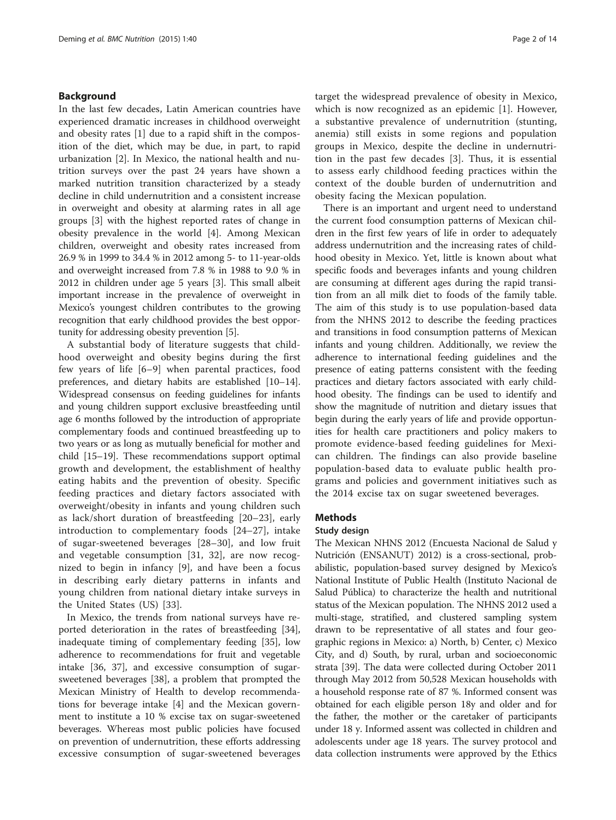#### Background

In the last few decades, Latin American countries have experienced dramatic increases in childhood overweight and obesity rates [[1\]](#page-12-0) due to a rapid shift in the composition of the diet, which may be due, in part, to rapid urbanization [[2\]](#page-12-0). In Mexico, the national health and nutrition surveys over the past 24 years have shown a marked nutrition transition characterized by a steady decline in child undernutrition and a consistent increase in overweight and obesity at alarming rates in all age groups [[3\]](#page-12-0) with the highest reported rates of change in obesity prevalence in the world [[4\]](#page-12-0). Among Mexican children, overweight and obesity rates increased from 26.9 % in 1999 to 34.4 % in 2012 among 5- to 11-year-olds and overweight increased from 7.8 % in 1988 to 9.0 % in 2012 in children under age 5 years [[3](#page-12-0)]. This small albeit important increase in the prevalence of overweight in Mexico's youngest children contributes to the growing recognition that early childhood provides the best opportunity for addressing obesity prevention [\[5](#page-12-0)].

A substantial body of literature suggests that childhood overweight and obesity begins during the first few years of life [[6](#page-12-0)–[9\]](#page-12-0) when parental practices, food preferences, and dietary habits are established [\[10](#page-12-0)–[14](#page-12-0)]. Widespread consensus on feeding guidelines for infants and young children support exclusive breastfeeding until age 6 months followed by the introduction of appropriate complementary foods and continued breastfeeding up to two years or as long as mutually beneficial for mother and child [\[15](#page-12-0)–[19](#page-12-0)]. These recommendations support optimal growth and development, the establishment of healthy eating habits and the prevention of obesity. Specific feeding practices and dietary factors associated with overweight/obesity in infants and young children such as lack/short duration of breastfeeding [\[20](#page-12-0)–[23](#page-12-0)], early introduction to complementary foods [[24](#page-12-0)–[27\]](#page-12-0), intake of sugar-sweetened beverages [[28](#page-12-0)–[30](#page-13-0)], and low fruit and vegetable consumption [[31, 32](#page-13-0)], are now recognized to begin in infancy [[9\]](#page-12-0), and have been a focus in describing early dietary patterns in infants and young children from national dietary intake surveys in the United States (US) [[33\]](#page-13-0).

In Mexico, the trends from national surveys have reported deterioration in the rates of breastfeeding [\[34](#page-13-0)], inadequate timing of complementary feeding [\[35\]](#page-13-0), low adherence to recommendations for fruit and vegetable intake [\[36](#page-13-0), [37\]](#page-13-0), and excessive consumption of sugarsweetened beverages [[38\]](#page-13-0), a problem that prompted the Mexican Ministry of Health to develop recommendations for beverage intake [\[4\]](#page-12-0) and the Mexican government to institute a 10 % excise tax on sugar-sweetened beverages. Whereas most public policies have focused on prevention of undernutrition, these efforts addressing excessive consumption of sugar-sweetened beverages

target the widespread prevalence of obesity in Mexico, which is now recognized as an epidemic [[1\]](#page-12-0). However, a substantive prevalence of undernutrition (stunting, anemia) still exists in some regions and population groups in Mexico, despite the decline in undernutrition in the past few decades [[3\]](#page-12-0). Thus, it is essential to assess early childhood feeding practices within the context of the double burden of undernutrition and obesity facing the Mexican population.

There is an important and urgent need to understand the current food consumption patterns of Mexican children in the first few years of life in order to adequately address undernutrition and the increasing rates of childhood obesity in Mexico. Yet, little is known about what specific foods and beverages infants and young children are consuming at different ages during the rapid transition from an all milk diet to foods of the family table. The aim of this study is to use population-based data from the NHNS 2012 to describe the feeding practices and transitions in food consumption patterns of Mexican infants and young children. Additionally, we review the adherence to international feeding guidelines and the presence of eating patterns consistent with the feeding practices and dietary factors associated with early childhood obesity. The findings can be used to identify and show the magnitude of nutrition and dietary issues that begin during the early years of life and provide opportunities for health care practitioners and policy makers to promote evidence-based feeding guidelines for Mexican children. The findings can also provide baseline population-based data to evaluate public health programs and policies and government initiatives such as the 2014 excise tax on sugar sweetened beverages.

#### Methods

#### Study design

The Mexican NHNS 2012 (Encuesta Nacional de Salud y Nutrición (ENSANUT) 2012) is a cross-sectional, probabilistic, population-based survey designed by Mexico's National Institute of Public Health (Instituto Nacional de Salud Pública) to characterize the health and nutritional status of the Mexican population. The NHNS 2012 used a multi-stage, stratified, and clustered sampling system drawn to be representative of all states and four geographic regions in Mexico: a) North, b) Center, c) Mexico City, and d) South, by rural, urban and socioeconomic strata [\[39\]](#page-13-0). The data were collected during October 2011 through May 2012 from 50,528 Mexican households with a household response rate of 87 %. Informed consent was obtained for each eligible person 18y and older and for the father, the mother or the caretaker of participants under 18 y. Informed assent was collected in children and adolescents under age 18 years. The survey protocol and data collection instruments were approved by the Ethics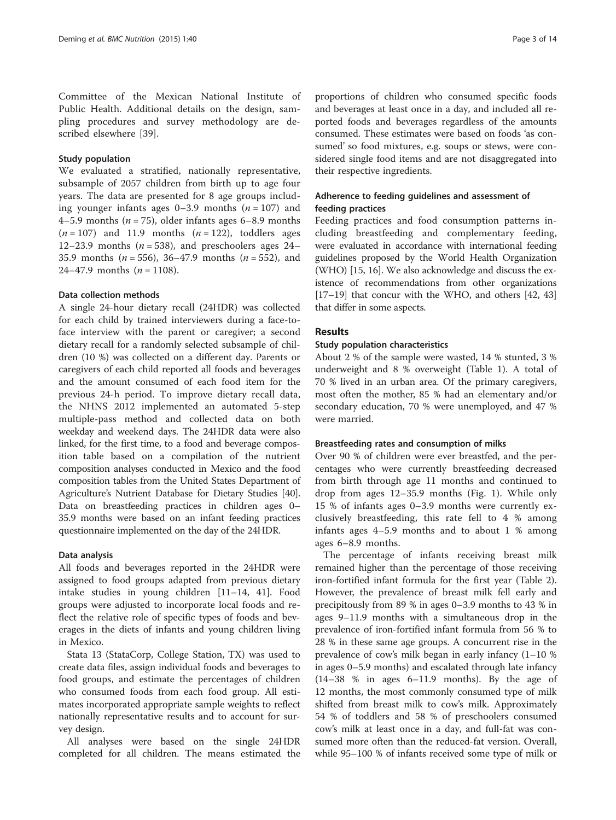Committee of the Mexican National Institute of Public Health. Additional details on the design, sampling procedures and survey methodology are described elsewhere [\[39](#page-13-0)].

#### Study population

We evaluated a stratified, nationally representative, subsample of 2057 children from birth up to age four years. The data are presented for 8 age groups including younger infants ages  $0-3.9$  months  $(n = 107)$  and 4–5.9 months ( $n = 75$ ), older infants ages 6–8.9 months  $(n = 107)$  and 11.9 months  $(n = 122)$ , toddlers ages 12–23.9 months ( $n = 538$ ), and preschoolers ages 24– 35.9 months ( $n = 556$ ), 36–47.9 months ( $n = 552$ ), and 24–47.9 months ( $n = 1108$ ).

#### Data collection methods

A single 24-hour dietary recall (24HDR) was collected for each child by trained interviewers during a face-toface interview with the parent or caregiver; a second dietary recall for a randomly selected subsample of children (10 %) was collected on a different day. Parents or caregivers of each child reported all foods and beverages and the amount consumed of each food item for the previous 24-h period. To improve dietary recall data, the NHNS 2012 implemented an automated 5-step multiple-pass method and collected data on both weekday and weekend days. The 24HDR data were also linked, for the first time, to a food and beverage composition table based on a compilation of the nutrient composition analyses conducted in Mexico and the food composition tables from the United States Department of Agriculture's Nutrient Database for Dietary Studies [[40](#page-13-0)]. Data on breastfeeding practices in children ages 0– 35.9 months were based on an infant feeding practices questionnaire implemented on the day of the 24HDR.

#### Data analysis

All foods and beverages reported in the 24HDR were assigned to food groups adapted from previous dietary intake studies in young children [[11](#page-12-0)–[14](#page-12-0), [41\]](#page-13-0). Food groups were adjusted to incorporate local foods and reflect the relative role of specific types of foods and beverages in the diets of infants and young children living in Mexico.

Stata 13 (StataCorp, College Station, TX) was used to create data files, assign individual foods and beverages to food groups, and estimate the percentages of children who consumed foods from each food group. All estimates incorporated appropriate sample weights to reflect nationally representative results and to account for survey design.

All analyses were based on the single 24HDR completed for all children. The means estimated the

proportions of children who consumed specific foods and beverages at least once in a day, and included all reported foods and beverages regardless of the amounts consumed. These estimates were based on foods 'as consumed' so food mixtures, e.g. soups or stews, were considered single food items and are not disaggregated into their respective ingredients.

#### Adherence to feeding guidelines and assessment of feeding practices

Feeding practices and food consumption patterns including breastfeeding and complementary feeding, were evaluated in accordance with international feeding guidelines proposed by the World Health Organization (WHO) [[15](#page-12-0), [16\]](#page-12-0). We also acknowledge and discuss the existence of recommendations from other organizations [[17](#page-12-0)–[19\]](#page-12-0) that concur with the WHO, and others [\[42, 43](#page-13-0)] that differ in some aspects.

#### Results

#### Study population characteristics

About 2 % of the sample were wasted, 14 % stunted, 3 % underweight and 8 % overweight (Table [1\)](#page-3-0). A total of 70 % lived in an urban area. Of the primary caregivers, most often the mother, 85 % had an elementary and/or secondary education, 70 % were unemployed, and 47 % were married.

#### Breastfeeding rates and consumption of milks

Over 90 % of children were ever breastfed, and the percentages who were currently breastfeeding decreased from birth through age 11 months and continued to drop from ages 12–35.9 months (Fig. [1](#page-4-0)). While only 15 % of infants ages 0–3.9 months were currently exclusively breastfeeding, this rate fell to 4 % among infants ages 4–5.9 months and to about 1 % among ages 6–8.9 months.

The percentage of infants receiving breast milk remained higher than the percentage of those receiving iron-fortified infant formula for the first year (Table [2](#page-5-0)). However, the prevalence of breast milk fell early and precipitously from 89 % in ages 0–3.9 months to 43 % in ages 9–11.9 months with a simultaneous drop in the prevalence of iron-fortified infant formula from 56 % to 28 % in these same age groups. A concurrent rise in the prevalence of cow's milk began in early infancy (1–10 % in ages 0–5.9 months) and escalated through late infancy (14–38 % in ages 6–11.9 months). By the age of 12 months, the most commonly consumed type of milk shifted from breast milk to cow's milk. Approximately 54 % of toddlers and 58 % of preschoolers consumed cow's milk at least once in a day, and full-fat was consumed more often than the reduced-fat version. Overall, while 95–100 % of infants received some type of milk or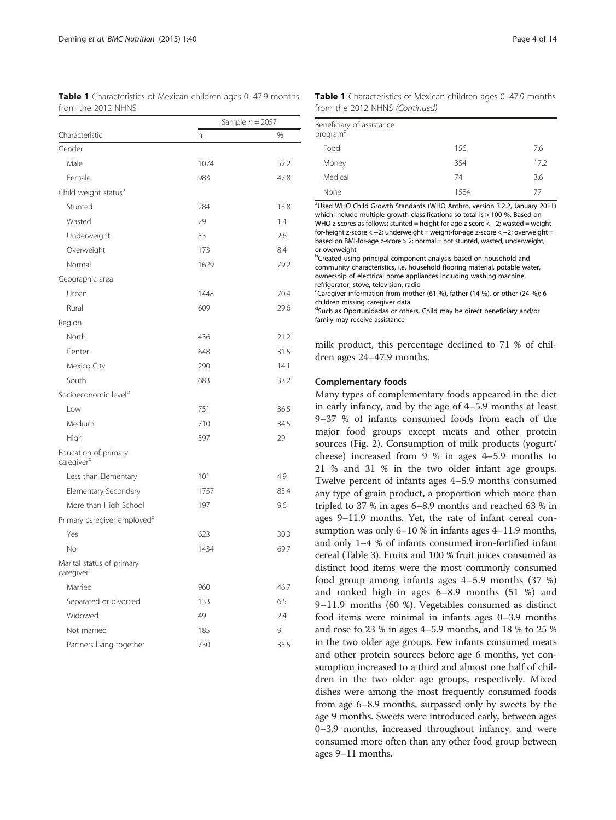|                                                     | Sample $n = 2057$ |              |  |  |
|-----------------------------------------------------|-------------------|--------------|--|--|
| Characteristic                                      | n                 | %            |  |  |
| Gender                                              |                   |              |  |  |
| Male                                                | 1074              | 52.2         |  |  |
| Female                                              | 983               | 47.8         |  |  |
| Child weight status <sup>a</sup>                    |                   |              |  |  |
| Stunted                                             | 284               | 13.8         |  |  |
| Wasted                                              | 29                | 1.4          |  |  |
| Underweight                                         | 53                | 2.6          |  |  |
| Overweight                                          | 173               | 8.4          |  |  |
| Normal                                              | 1629              | 79.2         |  |  |
| Geographic area                                     |                   |              |  |  |
| Urban                                               | 1448              | 70.4         |  |  |
| Rural                                               | 609               | 29.6         |  |  |
| Region                                              |                   |              |  |  |
| North                                               | 436               | 21.2         |  |  |
| Center                                              | 648               | 31.5         |  |  |
| Mexico City                                         | 290               | 14.1         |  |  |
| South                                               | 683               | 33.2         |  |  |
| Socioeconomic level <sup>b</sup>                    |                   |              |  |  |
| Low                                                 | 751               | 36.5         |  |  |
| Medium                                              | 710               | 34.5         |  |  |
| High                                                | 597               | 29           |  |  |
| Education of primary<br>caregiver <sup>c</sup>      |                   |              |  |  |
| Less than Elementary                                | 101               | 4.9          |  |  |
| Elementary-Secondary                                | 1757              | 85.4         |  |  |
| More than High School                               | 197               | 9.6          |  |  |
| Primary caregiver employed <sup>c</sup>             |                   |              |  |  |
| Yes                                                 | 623               | 30.3         |  |  |
| No                                                  | 1434              | 69.7         |  |  |
| Marital status of primary<br>caregiver <sup>c</sup> |                   |              |  |  |
| Married                                             | 960               | 46.7         |  |  |
| Separated or divorced                               | 133               | 6.5          |  |  |
| Widowed                                             | 49                | 2.4          |  |  |
| Not married                                         | 185               | $\mathsf{Q}$ |  |  |
| Partners living together                            | 730               | 35.5         |  |  |

<span id="page-3-0"></span>Table 1 Characteristics of Mexican children ages 0-47.9 months from the 2012 NHNS

Table 1 Characteristics of Mexican children ages 0-47.9 months from the 2012 NHNS (Continued)

| Beneficiary of assistance<br>program <sup>d</sup> |      |      |
|---------------------------------------------------|------|------|
| Food                                              | 156  | 7.6  |
| Money                                             | 354  | 17.2 |
| Medical                                           | 74   | 3.6  |
| None                                              | 1584 | 77   |
|                                                   |      |      |

<sup>a</sup>Used WHO Child Growth Standards (WHO Anthro, version 3.2.2, January 2011) which include multiple growth classifications so total is > 100 %. Based on WHO z-scores as follows: stunted = height-for-age z-score < −2; wasted = weightfor-height z-score < −2; underweight = weight-for-age z-score < −2; overweight = based on BMI-for-age z-score > 2; normal = not stunted, wasted, underweight, or overweight

<sup>b</sup>Created using principal component analysis based on household and community characteristics, i.e. household flooring material, potable water, ownership of electrical home appliances including washing machine, refrigerator, stove, television, radio

<sup>c</sup>Caregiver information from mother (61 %), father (14 %), or other (24 %); 6 children missing caregiver data

d Such as Oportunidadas or others. Child may be direct beneficiary and/or family may receive assistance

milk product, this percentage declined to 71 % of children ages 24–47.9 months.

#### Complementary foods

Many types of complementary foods appeared in the diet in early infancy, and by the age of 4–5.9 months at least 9–37 % of infants consumed foods from each of the major food groups except meats and other protein sources (Fig. [2\)](#page-6-0). Consumption of milk products (yogurt/ cheese) increased from 9 % in ages 4–5.9 months to 21 % and 31 % in the two older infant age groups. Twelve percent of infants ages 4–5.9 months consumed any type of grain product, a proportion which more than tripled to 37 % in ages 6–8.9 months and reached 63 % in ages 9–11.9 months. Yet, the rate of infant cereal consumption was only 6–10 % in infants ages 4–11.9 months, and only 1–4 % of infants consumed iron-fortified infant cereal (Table [3](#page-6-0)). Fruits and 100 % fruit juices consumed as distinct food items were the most commonly consumed food group among infants ages 4–5.9 months (37 %) and ranked high in ages 6–8.9 months (51 %) and 9–11.9 months (60 %). Vegetables consumed as distinct food items were minimal in infants ages 0–3.9 months and rose to 23 % in ages 4–5.9 months, and 18 % to 25 % in the two older age groups. Few infants consumed meats and other protein sources before age 6 months, yet consumption increased to a third and almost one half of children in the two older age groups, respectively. Mixed dishes were among the most frequently consumed foods from age 6–8.9 months, surpassed only by sweets by the age 9 months. Sweets were introduced early, between ages 0–3.9 months, increased throughout infancy, and were consumed more often than any other food group between ages 9–11 months.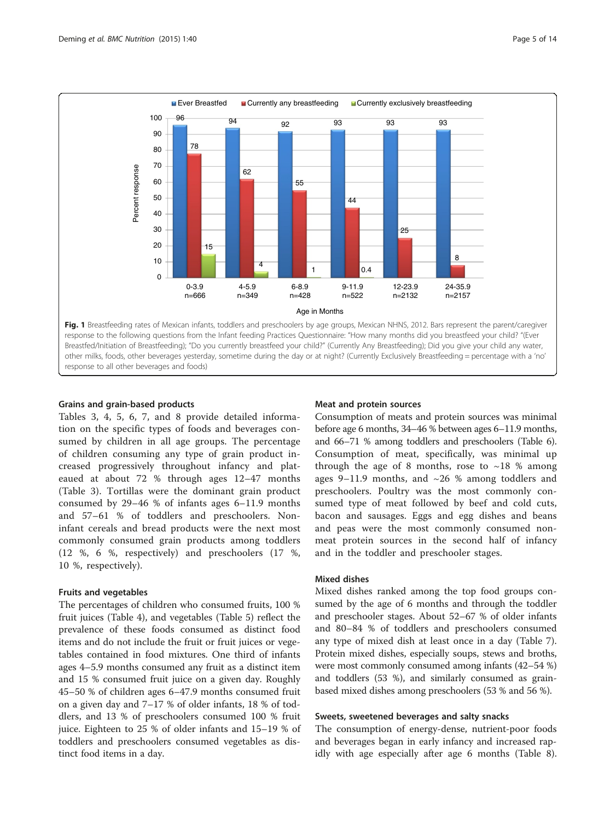<span id="page-4-0"></span>

#### Grains and grain-based products

Tables [3](#page-6-0), [4](#page-7-0), [5,](#page-7-0) [6](#page-8-0), [7](#page-9-0), and [8](#page-10-0) provide detailed information on the specific types of foods and beverages consumed by children in all age groups. The percentage of children consuming any type of grain product increased progressively throughout infancy and plateaued at about 72 % through ages 12–47 months (Table [3\)](#page-6-0). Tortillas were the dominant grain product consumed by 29–46 % of infants ages 6–11.9 months and 57–61 % of toddlers and preschoolers. Noninfant cereals and bread products were the next most commonly consumed grain products among toddlers (12 %, 6 %, respectively) and preschoolers (17 %, 10 %, respectively).

#### Fruits and vegetables

The percentages of children who consumed fruits, 100 % fruit juices (Table [4](#page-7-0)), and vegetables (Table [5](#page-7-0)) reflect the prevalence of these foods consumed as distinct food items and do not include the fruit or fruit juices or vegetables contained in food mixtures. One third of infants ages 4–5.9 months consumed any fruit as a distinct item and 15 % consumed fruit juice on a given day. Roughly 45–50 % of children ages 6–47.9 months consumed fruit on a given day and 7–17 % of older infants, 18 % of toddlers, and 13 % of preschoolers consumed 100 % fruit juice. Eighteen to 25 % of older infants and 15–19 % of toddlers and preschoolers consumed vegetables as distinct food items in a day.

#### Meat and protein sources

Consumption of meats and protein sources was minimal before age 6 months, 34–46 % between ages 6–11.9 months, and 66–71 % among toddlers and preschoolers (Table [6](#page-8-0)). Consumption of meat, specifically, was minimal up through the age of 8 months, rose to  $\sim$ 18 % among ages 9–11.9 months, and  $\sim$ 26 % among toddlers and preschoolers. Poultry was the most commonly consumed type of meat followed by beef and cold cuts, bacon and sausages. Eggs and egg dishes and beans and peas were the most commonly consumed nonmeat protein sources in the second half of infancy and in the toddler and preschooler stages.

#### Mixed dishes

Mixed dishes ranked among the top food groups consumed by the age of 6 months and through the toddler and preschooler stages. About 52–67 % of older infants and 80–84 % of toddlers and preschoolers consumed any type of mixed dish at least once in a day (Table [7](#page-9-0)). Protein mixed dishes, especially soups, stews and broths, were most commonly consumed among infants (42–54 %) and toddlers (53 %), and similarly consumed as grainbased mixed dishes among preschoolers (53 % and 56 %).

#### Sweets, sweetened beverages and salty snacks

The consumption of energy-dense, nutrient-poor foods and beverages began in early infancy and increased rapidly with age especially after age 6 months (Table [8](#page-10-0)).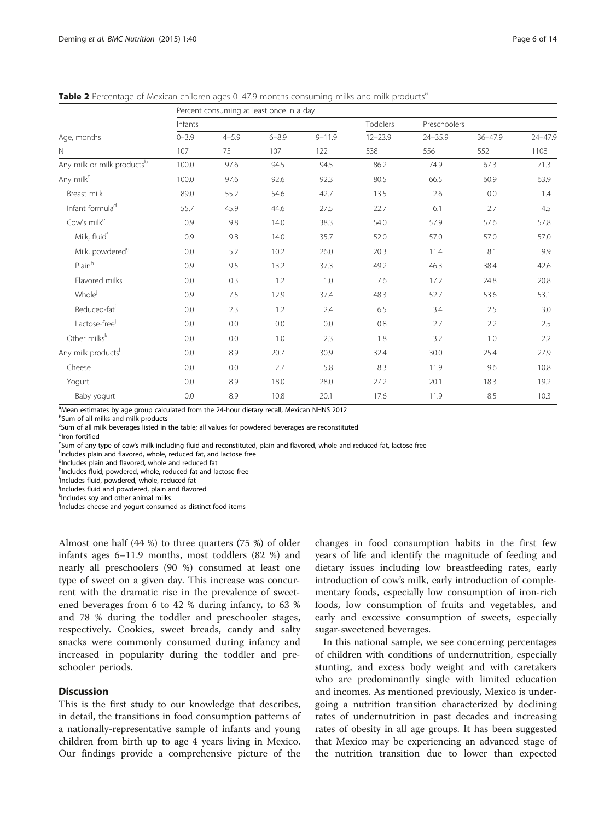|                                        | Percent consuming at least once in a day |           |           |            |             |              |             |         |  |  |
|----------------------------------------|------------------------------------------|-----------|-----------|------------|-------------|--------------|-------------|---------|--|--|
|                                        | Infants                                  |           |           |            | Toddlers    | Preschoolers |             |         |  |  |
| Age, months                            | $0 - 3.9$                                | $4 - 5.9$ | $6 - 8.9$ | $9 - 11.9$ | $12 - 23.9$ | 24-35.9      | $36 - 47.9$ | 24-47.9 |  |  |
| Ν                                      | 107                                      | 75        | 107       | 122        | 538         | 556          | 552         | 1108    |  |  |
| Any milk or milk products <sup>b</sup> | 100.0                                    | 97.6      | 94.5      | 94.5       | 86.2        | 74.9         | 67.3        | 71.3    |  |  |
| Any milk <sup>c</sup>                  | 100.0                                    | 97.6      | 92.6      | 92.3       | 80.5        | 66.5         | 60.9        | 63.9    |  |  |
| Breast milk                            | 89.0                                     | 55.2      | 54.6      | 42.7       | 13.5        | 2.6          | 0.0         | 1.4     |  |  |
| Infant formula <sup>d</sup>            | 55.7                                     | 45.9      | 44.6      | 27.5       | 22.7        | 6.1          | 2.7         | 4.5     |  |  |
| Cow's milk <sup>e</sup>                | 0.9                                      | 9.8       | 14.0      | 38.3       | 54.0        | 57.9         | 57.6        | 57.8    |  |  |
| Milk, fluid <sup>f</sup>               | 0.9                                      | 9.8       | 14.0      | 35.7       | 52.0        | 57.0         | 57.0        | 57.0    |  |  |
| Milk, powdered <sup>9</sup>            | 0.0                                      | 5.2       | 10.2      | 26.0       | 20.3        | 11.4         | 8.1         | 9.9     |  |  |
| Plainh                                 | 0.9                                      | 9.5       | 13.2      | 37.3       | 49.2        | 46.3         | 38.4        | 42.6    |  |  |
| Flavored milksi                        | 0.0                                      | 0.3       | 1.2       | 1.0        | 7.6         | 17.2         | 24.8        | 20.8    |  |  |
| Whole                                  | 0.9                                      | 7.5       | 12.9      | 37.4       | 48.3        | 52.7         | 53.6        | 53.1    |  |  |
| Reduced-fat <sup>j</sup>               | 0.0                                      | 2.3       | 1.2       | 2.4        | 6.5         | 3.4          | 2.5         | 3.0     |  |  |
| Lactose-free                           | 0.0                                      | 0.0       | 0.0       | 0.0        | 0.8         | 2.7          | 2.2         | 2.5     |  |  |
| Other $m$ ilks $k$                     | 0.0                                      | 0.0       | 1.0       | 2.3        | 1.8         | 3.2          | 1.0         | 2.2     |  |  |
| Any milk products <sup>1</sup>         | 0.0                                      | 8.9       | 20.7      | 30.9       | 32.4        | 30.0         | 25.4        | 27.9    |  |  |
| Cheese                                 | 0.0                                      | 0.0       | 2.7       | 5.8        | 8.3         | 11.9         | 9.6         | 10.8    |  |  |
| Yogurt                                 | 0.0                                      | 8.9       | 18.0      | 28.0       | 27.2        | 20.1         | 18.3        | 19.2    |  |  |
| Baby yogurt                            | 0.0                                      | 8.9       | 10.8      | 20.1       | 17.6        | 11.9         | 8.5         | 10.3    |  |  |

<span id="page-5-0"></span>Table 2 Percentage of Mexican children ages 0-47.9 months consuming milks and milk products<sup>a</sup>

<sup>b</sup>Sum of all milks and milk products

<sup>c</sup>Sum of all milk beverages listed in the table; all values for powdered beverages are reconstituted

<sup>d</sup>Iron-fortified

eSum of any type of cow's milk including fluid and reconstituted, plain and flavored, whole and reduced fat, lactose-free

fincludes plain and flavored, whole, reduced fat, and lactose free

<sup>g</sup>Includes plain and flavored, whole and reduced fat

hIncludes fluid, powdered, whole, reduced fat and lactose-free

i Includes fluid, powdered, whole, reduced fat

<sup>j</sup>Includes fluid and powdered, plain and flavored

k<sub>lncludes soy and other animal milks</sub>

Includes cheese and yogurt consumed as distinct food items

Almost one half (44 %) to three quarters (75 %) of older infants ages 6–11.9 months, most toddlers (82 %) and nearly all preschoolers (90 %) consumed at least one type of sweet on a given day. This increase was concurrent with the dramatic rise in the prevalence of sweetened beverages from 6 to 42 % during infancy, to 63 % and 78 % during the toddler and preschooler stages, respectively. Cookies, sweet breads, candy and salty snacks were commonly consumed during infancy and increased in popularity during the toddler and preschooler periods.

#### **Discussion**

This is the first study to our knowledge that describes, in detail, the transitions in food consumption patterns of a nationally-representative sample of infants and young children from birth up to age 4 years living in Mexico. Our findings provide a comprehensive picture of the

changes in food consumption habits in the first few years of life and identify the magnitude of feeding and dietary issues including low breastfeeding rates, early introduction of cow's milk, early introduction of complementary foods, especially low consumption of iron-rich foods, low consumption of fruits and vegetables, and early and excessive consumption of sweets, especially sugar-sweetened beverages.

In this national sample, we see concerning percentages of children with conditions of undernutrition, especially stunting, and excess body weight and with caretakers who are predominantly single with limited education and incomes. As mentioned previously, Mexico is undergoing a nutrition transition characterized by declining rates of undernutrition in past decades and increasing rates of obesity in all age groups. It has been suggested that Mexico may be experiencing an advanced stage of the nutrition transition due to lower than expected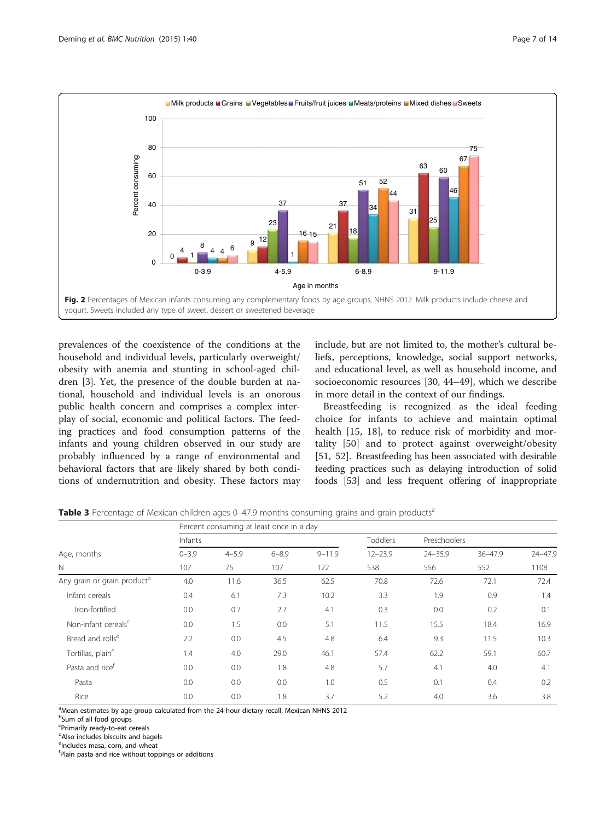<span id="page-6-0"></span>

prevalences of the coexistence of the conditions at the household and individual levels, particularly overweight/ obesity with anemia and stunting in school-aged children [\[3](#page-12-0)]. Yet, the presence of the double burden at national, household and individual levels is an onorous public health concern and comprises a complex interplay of social, economic and political factors. The feeding practices and food consumption patterns of the infants and young children observed in our study are probably influenced by a range of environmental and behavioral factors that are likely shared by both conditions of undernutrition and obesity. These factors may

include, but are not limited to, the mother's cultural beliefs, perceptions, knowledge, social support networks, and educational level, as well as household income, and socioeconomic resources [[30](#page-13-0), [44](#page-13-0)–[49](#page-13-0)], which we describe in more detail in the context of our findings.

Breastfeeding is recognized as the ideal feeding choice for infants to achieve and maintain optimal health [\[15](#page-12-0), [18](#page-12-0)], to reduce risk of morbidity and mortality [[50\]](#page-13-0) and to protect against overweight/obesity [[51, 52](#page-13-0)]. Breastfeeding has been associated with desirable feeding practices such as delaying introduction of solid foods [\[53\]](#page-13-0) and less frequent offering of inappropriate

| Table 3 Percentage of Mexican children ages 0-47.9 months consuming grains and grain products <sup>a</sup> |  |
|------------------------------------------------------------------------------------------------------------|--|
|------------------------------------------------------------------------------------------------------------|--|

|                                         | Percent consuming at least once in a day |           |           |            |             |             |              |             |  |  |
|-----------------------------------------|------------------------------------------|-----------|-----------|------------|-------------|-------------|--------------|-------------|--|--|
|                                         | Infants                                  |           |           |            | Toddlers    |             | Preschoolers |             |  |  |
| Age, months                             | $0 - 3.9$                                | $4 - 5.9$ | $6 - 8.9$ | $9 - 11.9$ | $12 - 23.9$ | $24 - 35.9$ | $36 - 47.9$  | $24 - 47.9$ |  |  |
| N                                       | 107                                      | 75        | 107       | 122        | 538         | 556         | 552          | 1108        |  |  |
| Any grain or grain product <sup>b</sup> | 4.0                                      | 11.6      | 36.5      | 62.5       | 70.8        | 72.6        | 72.1         | 72.4        |  |  |
| Infant cereals                          | 0.4                                      | 6.1       | 7.3       | 10.2       | 3.3         | 1.9         | 0.9          | 1.4         |  |  |
| Iron-fortified                          | 0.0                                      | 0.7       | 2.7       | 4.1        | 0.3         | 0.0         | 0.2          | 0.1         |  |  |
| Non-infant cereals <sup>c</sup>         | 0.0                                      | 1.5       | 0.0       | 5.1        | 11.5        | 15.5        | 18.4         | 16.9        |  |  |
| Bread and rolls <sup>d</sup>            | 2.2                                      | 0.0       | 4.5       | 4.8        | 6.4         | 9.3         | 11.5         | 10.3        |  |  |
| Tortillas, plain <sup>e</sup>           | 1.4                                      | 4.0       | 29.0      | 46.1       | 57.4        | 62.2        | 59.1         | 60.7        |  |  |
| Pasta and rice <sup>f</sup>             | 0.0                                      | 0.0       | 1.8       | 4.8        | 5.7         | 4.1         | 4.0          | 4.1         |  |  |
| Pasta                                   | 0.0                                      | 0.0       | 0.0       | 1.0        | 0.5         | 0.1         | 0.4          | 0.2         |  |  |
| Rice                                    | 0.0                                      | 0.0       | 1.8       | 3.7        | 5.2         | 4.0         | 3.6          | 3.8         |  |  |

<sup>a</sup>Mean estimates by age group calculated from the 24-hour dietary recall, Mexican NHNS 2012

<sup>b</sup>Sum of all food groups

c Primarily ready-to-eat cereals

<sup>d</sup>Also includes biscuits and bagels

e Includes masa, corn, and wheat

f Plain pasta and rice without toppings or additions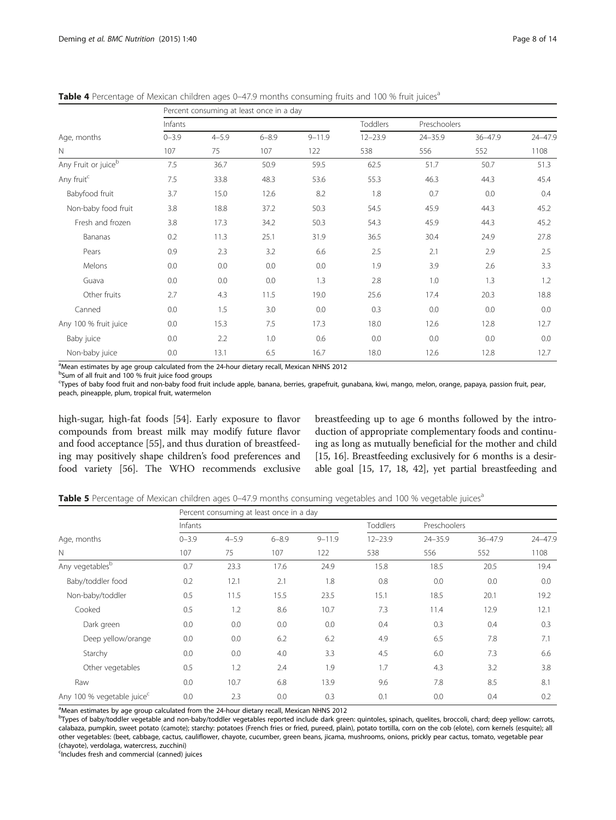|                        |           | Percent consuming at least once in a day |           |            |             |              |             |         |  |  |  |  |  |
|------------------------|-----------|------------------------------------------|-----------|------------|-------------|--------------|-------------|---------|--|--|--|--|--|
|                        | Infants   |                                          |           |            | Toddlers    | Preschoolers |             |         |  |  |  |  |  |
| Age, months            | $0 - 3.9$ | $4 - 5.9$                                | $6 - 8.9$ | $9 - 11.9$ | $12 - 23.9$ | $24 - 35.9$  | $36 - 47.9$ | 24-47.9 |  |  |  |  |  |
| $\mathsf{N}$           | 107       | 75                                       | 107       | 122        | 538         | 556          | 552         | 1108    |  |  |  |  |  |
| Any Fruit or juiceb    | 7.5       | 36.7                                     | 50.9      | 59.5       | 62.5        | 51.7         | 50.7        | 51.3    |  |  |  |  |  |
| Any fruit <sup>c</sup> | 7.5       | 33.8                                     | 48.3      | 53.6       | 55.3        | 46.3         | 44.3        | 45.4    |  |  |  |  |  |
| Babyfood fruit         | 3.7       | 15.0                                     | 12.6      | 8.2        | 1.8         | 0.7          | 0.0         | 0.4     |  |  |  |  |  |
| Non-baby food fruit    | 3.8       | 18.8                                     | 37.2      | 50.3       | 54.5        | 45.9         | 44.3        | 45.2    |  |  |  |  |  |
| Fresh and frozen       | 3.8       | 17.3                                     | 34.2      | 50.3       | 54.3        | 45.9         | 44.3        | 45.2    |  |  |  |  |  |
| Bananas                | 0.2       | 11.3                                     | 25.1      | 31.9       | 36.5        | 30.4         | 24.9        | 27.8    |  |  |  |  |  |
| Pears                  | 0.9       | 2.3                                      | 3.2       | 6.6        | 2.5         | 2.1          | 2.9         | 2.5     |  |  |  |  |  |
| Melons                 | 0.0       | 0.0                                      | 0.0       | 0.0        | 1.9         | 3.9          | 2.6         | 3.3     |  |  |  |  |  |
| Guava                  | 0.0       | 0.0                                      | 0.0       | 1.3        | 2.8         | 1.0          | 1.3         | 1.2     |  |  |  |  |  |
| Other fruits           | 2.7       | 4.3                                      | 11.5      | 19.0       | 25.6        | 17.4         | 20.3        | 18.8    |  |  |  |  |  |
| Canned                 | 0.0       | 1.5                                      | 3.0       | 0.0        | 0.3         | 0.0          | 0.0         | 0.0     |  |  |  |  |  |
| Any 100 % fruit juice  | 0.0       | 15.3                                     | 7.5       | 17.3       | 18.0        | 12.6         | 12.8        | 12.7    |  |  |  |  |  |
| Baby juice             | 0.0       | 2.2                                      | 1.0       | 0.6        | 0.0         | 0.0          | 0.0         | 0.0     |  |  |  |  |  |
| Non-baby juice         | 0.0       | 13.1                                     | 6.5       | 16.7       | 18.0        | 12.6         | 12.8        | 12.7    |  |  |  |  |  |

<span id="page-7-0"></span>Table 4 Percentage of Mexican children ages 0–47.9 months consuming fruits and 100 % fruit juices<sup>a</sup>

<sup>b</sup>Sum of all fruit and 100 % fruit juice food groups

c Types of baby food fruit and non-baby food fruit include apple, banana, berries, grapefruit, gunabana, kiwi, mango, melon, orange, papaya, passion fruit, pear, peach, pineapple, plum, tropical fruit, watermelon

high-sugar, high-fat foods [\[54\]](#page-13-0). Early exposure to flavor compounds from breast milk may modify future flavor and food acceptance [\[55\]](#page-13-0), and thus duration of breastfeeding may positively shape children's food preferences and food variety [\[56](#page-13-0)]. The WHO recommends exclusive breastfeeding up to age 6 months followed by the introduction of appropriate complementary foods and continuing as long as mutually beneficial for the mother and child [[15](#page-12-0), [16](#page-12-0)]. Breastfeeding exclusively for 6 months is a desirable goal [\[15, 17](#page-12-0), [18,](#page-12-0) [42](#page-13-0)], yet partial breastfeeding and

Table 5 Percentage of Mexican children ages 0–47.9 months consuming vegetables and 100 % vegetable juices<sup>a</sup>

|                                        | Percent consuming at least once in a day |           |           |            |             |              |             |             |  |  |  |
|----------------------------------------|------------------------------------------|-----------|-----------|------------|-------------|--------------|-------------|-------------|--|--|--|
|                                        | Infants                                  |           |           |            | Toddlers    | Preschoolers |             |             |  |  |  |
| Age, months                            | $0 - 3.9$                                | $4 - 5.9$ | $6 - 8.9$ | $9 - 11.9$ | $12 - 23.9$ | $24 - 35.9$  | $36 - 47.9$ | $24 - 47.9$ |  |  |  |
| N                                      | 107                                      | 75        | 107       | 122        | 538         | 556          | 552         | 1108        |  |  |  |
| Any vegetables <sup>b</sup>            | 0.7                                      | 23.3      | 17.6      | 24.9       | 15.8        | 18.5         | 20.5        | 19.4        |  |  |  |
| Baby/toddler food                      | 0.2                                      | 12.1      | 2.1       | 1.8        | 0.8         | 0.0          | 0.0         | 0.0         |  |  |  |
| Non-baby/toddler                       | 0.5                                      | 11.5      | 15.5      | 23.5       | 15.1        | 18.5         | 20.1        | 19.2        |  |  |  |
| Cooked                                 | 0.5                                      | 1.2       | 8.6       | 10.7       | 7.3         | 11.4         | 12.9        | 12.1        |  |  |  |
| Dark green                             | 0.0                                      | 0.0       | 0.0       | 0.0        | 0.4         | 0.3          | 0.4         | 0.3         |  |  |  |
| Deep yellow/orange                     | 0.0                                      | 0.0       | 6.2       | 6.2        | 4.9         | 6.5          | 7.8         | 7.1         |  |  |  |
| Starchy                                | 0.0                                      | 0.0       | 4.0       | 3.3        | 4.5         | 6.0          | 7.3         | 6.6         |  |  |  |
| Other vegetables                       | 0.5                                      | 1.2       | 2.4       | 1.9        | 1.7         | 4.3          | 3.2         | 3.8         |  |  |  |
| Raw                                    | 0.0                                      | 10.7      | 6.8       | 13.9       | 9.6         | 7.8          | 8.5         | 8.1         |  |  |  |
| Any 100 % vegetable juice <sup>c</sup> | 0.0                                      | 2.3       | 0.0       | 0.3        | 0.1         | 0.0          | 0.4         | 0.2         |  |  |  |

<sup>a</sup>Mean estimates by age group calculated from the 24-hour dietary recall, Mexican NHNS 2012

b<br>Types of baby/toddler vegetable and non-baby/toddler vegetables reported include dark green: quintoles, spinach, quelites, broccoli, chard; deep yellow: carrots, calabaza, pumpkin, sweet potato (camote); starchy: potatoes (French fries or fried, pureed, plain), potato tortilla, corn on the cob (elote), corn kernels (esquite); all other vegetables: (beet, cabbage, cactus, cauliflower, chayote, cucumber, green beans, jicama, mushrooms, onions, prickly pear cactus, tomato, vegetable pear (chayote), verdolaga, watercress, zucchini)

c Includes fresh and commercial (canned) juices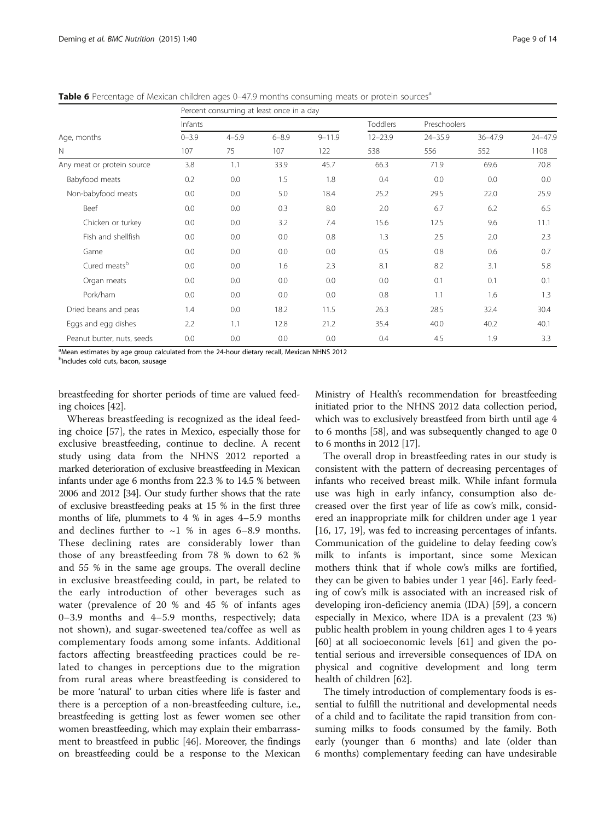<span id="page-8-0"></span>Table 6 Percentage of Mexican children ages 0-47.9 months consuming meats or protein sources<sup>a</sup>

|                            | Percent consuming at least once in a day |           |           |            |                 |             |              |         |  |  |
|----------------------------|------------------------------------------|-----------|-----------|------------|-----------------|-------------|--------------|---------|--|--|
|                            | Infants                                  |           |           |            | <b>Toddlers</b> |             | Preschoolers |         |  |  |
| Age, months                | $0 - 3.9$                                | $4 - 5.9$ | $6 - 8.9$ | $9 - 11.9$ | $12 - 23.9$     | $24 - 35.9$ | $36 - 47.9$  | 24-47.9 |  |  |
| $\mathbb N$                | 107                                      | 75        | 107       | 122        | 538             | 556         | 552          | 1108    |  |  |
| Any meat or protein source | 3.8                                      | 1.1       | 33.9      | 45.7       | 66.3            | 71.9        | 69.6         | 70.8    |  |  |
| Babyfood meats             | 0.2                                      | 0.0       | 1.5       | 1.8        | 0.4             | 0.0         | 0.0          | 0.0     |  |  |
| Non-babyfood meats         | 0.0                                      | 0.0       | 5.0       | 18.4       | 25.2            | 29.5        | 22.0         | 25.9    |  |  |
| Beef                       | 0.0                                      | 0.0       | 0.3       | 8.0        | 2.0             | 6.7         | 6.2          | 6.5     |  |  |
| Chicken or turkey          | 0.0                                      | 0.0       | 3.2       | 7.4        | 15.6            | 12.5        | 9.6          | 11.1    |  |  |
| Fish and shellfish         | 0.0                                      | 0.0       | 0.0       | 0.8        | 1.3             | 2.5         | 2.0          | 2.3     |  |  |
| Game                       | 0.0                                      | 0.0       | 0.0       | 0.0        | 0.5             | 0.8         | 0.6          | 0.7     |  |  |
| Cured meats <sup>b</sup>   | 0.0                                      | 0.0       | 1.6       | 2.3        | 8.1             | 8.2         | 3.1          | 5.8     |  |  |
| Organ meats                | 0.0                                      | 0.0       | 0.0       | 0.0        | 0.0             | 0.1         | 0.1          | 0.1     |  |  |
| Pork/ham                   | 0.0                                      | 0.0       | 0.0       | 0.0        | 0.8             | 1.1         | 1.6          | 1.3     |  |  |
| Dried beans and peas       | 1.4                                      | 0.0       | 18.2      | 11.5       | 26.3            | 28.5        | 32.4         | 30.4    |  |  |
| Eggs and egg dishes        | 2.2                                      | 1.1       | 12.8      | 21.2       | 35.4            | 40.0        | 40.2         | 40.1    |  |  |
| Peanut butter, nuts, seeds | 0.0                                      | 0.0       | 0.0       | 0.0        | 0.4             | 4.5         | 1.9          | 3.3     |  |  |

<sup>b</sup>Includes cold cuts, bacon, sausage

breastfeeding for shorter periods of time are valued feeding choices [[42](#page-13-0)].

Whereas breastfeeding is recognized as the ideal feeding choice [[57\]](#page-13-0), the rates in Mexico, especially those for exclusive breastfeeding, continue to decline. A recent study using data from the NHNS 2012 reported a marked deterioration of exclusive breastfeeding in Mexican infants under age 6 months from 22.3 % to 14.5 % between 2006 and 2012 [\[34](#page-13-0)]. Our study further shows that the rate of exclusive breastfeeding peaks at 15 % in the first three months of life, plummets to 4 % in ages 4–5.9 months and declines further to  $\sim$ 1 % in ages 6–8.9 months. These declining rates are considerably lower than those of any breastfeeding from 78 % down to 62 % and 55 % in the same age groups. The overall decline in exclusive breastfeeding could, in part, be related to the early introduction of other beverages such as water (prevalence of 20 % and 45 % of infants ages 0–3.9 months and 4–5.9 months, respectively; data not shown), and sugar-sweetened tea/coffee as well as complementary foods among some infants. Additional factors affecting breastfeeding practices could be related to changes in perceptions due to the migration from rural areas where breastfeeding is considered to be more 'natural' to urban cities where life is faster and there is a perception of a non-breastfeeding culture, i.e., breastfeeding is getting lost as fewer women see other women breastfeeding, which may explain their embarrassment to breastfeed in public [[46](#page-13-0)]. Moreover, the findings on breastfeeding could be a response to the Mexican

Ministry of Health's recommendation for breastfeeding initiated prior to the NHNS 2012 data collection period, which was to exclusively breastfeed from birth until age 4 to 6 months [[58](#page-13-0)], and was subsequently changed to age 0 to 6 months in 2012 [\[17](#page-12-0)].

The overall drop in breastfeeding rates in our study is consistent with the pattern of decreasing percentages of infants who received breast milk. While infant formula use was high in early infancy, consumption also decreased over the first year of life as cow's milk, considered an inappropriate milk for children under age 1 year [[16, 17, 19\]](#page-12-0), was fed to increasing percentages of infants. Communication of the guideline to delay feeding cow's milk to infants is important, since some Mexican mothers think that if whole cow's milks are fortified, they can be given to babies under 1 year [\[46](#page-13-0)]. Early feeding of cow's milk is associated with an increased risk of developing iron-deficiency anemia (IDA) [\[59](#page-13-0)], a concern especially in Mexico, where IDA is a prevalent (23 %) public health problem in young children ages 1 to 4 years [[60\]](#page-13-0) at all socioeconomic levels [\[61](#page-13-0)] and given the potential serious and irreversible consequences of IDA on physical and cognitive development and long term health of children [\[62](#page-13-0)].

The timely introduction of complementary foods is essential to fulfill the nutritional and developmental needs of a child and to facilitate the rapid transition from consuming milks to foods consumed by the family. Both early (younger than 6 months) and late (older than 6 months) complementary feeding can have undesirable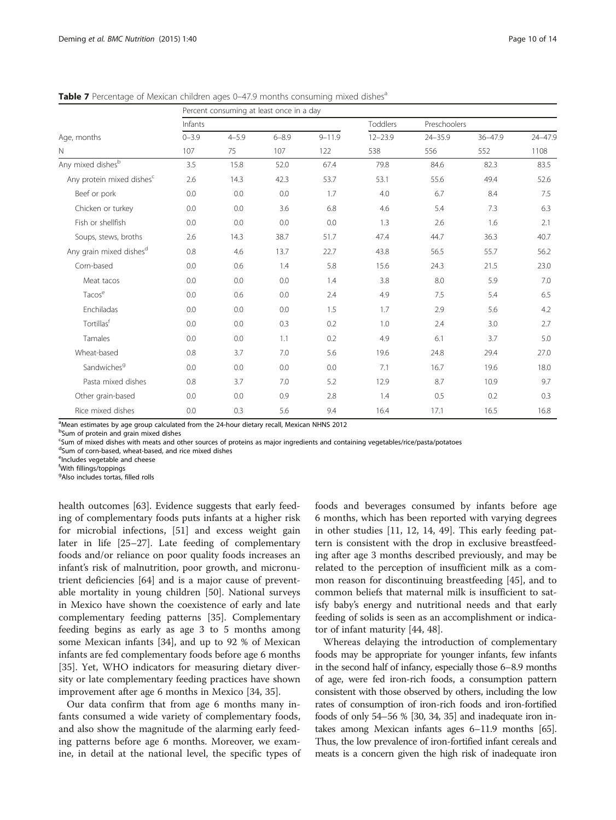|                                       | Percent consuming at least once in a day |           |           |            |             |              |         |         |  |  |  |
|---------------------------------------|------------------------------------------|-----------|-----------|------------|-------------|--------------|---------|---------|--|--|--|
|                                       | Infants                                  |           |           |            | Toddlers    | Preschoolers |         |         |  |  |  |
| Age, months                           | $0 - 3.9$                                | $4 - 5.9$ | $6 - 8.9$ | $9 - 11.9$ | $12 - 23.9$ | $24 - 35.9$  | 36-47.9 | 24-47.9 |  |  |  |
| Ν                                     | 107                                      | 75        | 107       | 122        | 538         | 556          | 552     | 1108    |  |  |  |
| Any mixed dishes <sup>b</sup>         | 3.5                                      | 15.8      | 52.0      | 67.4       | 79.8        | 84.6         | 82.3    | 83.5    |  |  |  |
| Any protein mixed dishes <sup>c</sup> | 2.6                                      | 14.3      | 42.3      | 53.7       | 53.1        | 55.6         | 49.4    | 52.6    |  |  |  |
| Beef or pork                          | 0.0                                      | 0.0       | 0.0       | 1.7        | 4.0         | 6.7          | 8.4     | 7.5     |  |  |  |
| Chicken or turkey                     | 0.0                                      | 0.0       | 3.6       | 6.8        | 4.6         | 5.4          | 7.3     | 6.3     |  |  |  |
| Fish or shellfish                     | 0.0                                      | 0.0       | 0.0       | 0.0        | 1.3         | 2.6          | 1.6     | 2.1     |  |  |  |
| Soups, stews, broths                  | 2.6                                      | 14.3      | 38.7      | 51.7       | 47.4        | 44.7         | 36.3    | 40.7    |  |  |  |
| Any grain mixed dishes <sup>d</sup>   | 0.8                                      | 4.6       | 13.7      | 22.7       | 43.8        | 56.5         | 55.7    | 56.2    |  |  |  |
| Corn-based                            | 0.0                                      | 0.6       | 1.4       | 5.8        | 15.6        | 24.3         | 21.5    | 23.0    |  |  |  |
| Meat tacos                            | 0.0                                      | 0.0       | 0.0       | 1.4        | 3.8         | 8.0          | 5.9     | 7.0     |  |  |  |
| Tacose                                | 0.0                                      | 0.6       | 0.0       | 2.4        | 4.9         | 7.5          | 5.4     | 6.5     |  |  |  |
| Enchiladas                            | 0.0                                      | 0.0       | 0.0       | 1.5        | 1.7         | 2.9          | 5.6     | 4.2     |  |  |  |
| Tortillasf                            | 0.0                                      | 0.0       | 0.3       | 0.2        | 1.0         | 2.4          | 3.0     | 2.7     |  |  |  |
| Tamales                               | 0.0                                      | 0.0       | 1.1       | 0.2        | 4.9         | 6.1          | 3.7     | 5.0     |  |  |  |
| Wheat-based                           | $0.8\,$                                  | 3.7       | 7.0       | 5.6        | 19.6        | 24.8         | 29.4    | 27.0    |  |  |  |
| Sandwiches <sup>9</sup>               | 0.0                                      | 0.0       | 0.0       | 0.0        | 7.1         | 16.7         | 19.6    | 18.0    |  |  |  |
| Pasta mixed dishes                    | 0.8                                      | 3.7       | 7.0       | 5.2        | 12.9        | 8.7          | 10.9    | 9.7     |  |  |  |
| Other grain-based                     | 0.0                                      | 0.0       | 0.9       | 2.8        | 1.4         | 0.5          | 0.2     | 0.3     |  |  |  |
| Rice mixed dishes                     | 0.0                                      | 0.3       | 5.6       | 9.4        | 16.4        | 17.1         | 16.5    | 16.8    |  |  |  |

<span id="page-9-0"></span>Table 7 Percentage of Mexican children ages 0-47.9 months consuming mixed dishes<sup>a</sup>

<sup>b</sup>Sum of protein and grain mixed dishes

<sup>c</sup>Sum of mixed dishes with meats and other sources of proteins as major ingredients and containing vegetables/rice/pasta/potatoes

dSum of corn-based, wheat-based, and rice mixed dishes

<sup>e</sup>Includes vegetable and cheese

f With fillings/toppings

<sup>9</sup>Also includes tortas, filled rolls

health outcomes [[63](#page-13-0)]. Evidence suggests that early feeding of complementary foods puts infants at a higher risk for microbial infections, [[51](#page-13-0)] and excess weight gain later in life [[25](#page-12-0)–[27](#page-12-0)]. Late feeding of complementary foods and/or reliance on poor quality foods increases an infant's risk of malnutrition, poor growth, and micronutrient deficiencies [[64\]](#page-13-0) and is a major cause of preventable mortality in young children [[50](#page-13-0)]. National surveys in Mexico have shown the coexistence of early and late complementary feeding patterns [[35\]](#page-13-0). Complementary feeding begins as early as age 3 to 5 months among some Mexican infants [\[34](#page-13-0)], and up to 92 % of Mexican infants are fed complementary foods before age 6 months [[35\]](#page-13-0). Yet, WHO indicators for measuring dietary diversity or late complementary feeding practices have shown improvement after age 6 months in Mexico [[34](#page-13-0), [35](#page-13-0)].

Our data confirm that from age 6 months many infants consumed a wide variety of complementary foods, and also show the magnitude of the alarming early feeding patterns before age 6 months. Moreover, we examine, in detail at the national level, the specific types of

foods and beverages consumed by infants before age 6 months, which has been reported with varying degrees in other studies [\[11](#page-12-0), [12, 14,](#page-12-0) [49\]](#page-13-0). This early feeding pattern is consistent with the drop in exclusive breastfeeding after age 3 months described previously, and may be related to the perception of insufficient milk as a common reason for discontinuing breastfeeding [[45\]](#page-13-0), and to common beliefs that maternal milk is insufficient to satisfy baby's energy and nutritional needs and that early feeding of solids is seen as an accomplishment or indicator of infant maturity [\[44](#page-13-0), [48\]](#page-13-0).

Whereas delaying the introduction of complementary foods may be appropriate for younger infants, few infants in the second half of infancy, especially those 6–8.9 months of age, were fed iron-rich foods, a consumption pattern consistent with those observed by others, including the low rates of consumption of iron-rich foods and iron-fortified foods of only 54–56 % [\[30, 34](#page-13-0), [35\]](#page-13-0) and inadequate iron intakes among Mexican infants ages 6–11.9 months [\[65](#page-13-0)]. Thus, the low prevalence of iron-fortified infant cereals and meats is a concern given the high risk of inadequate iron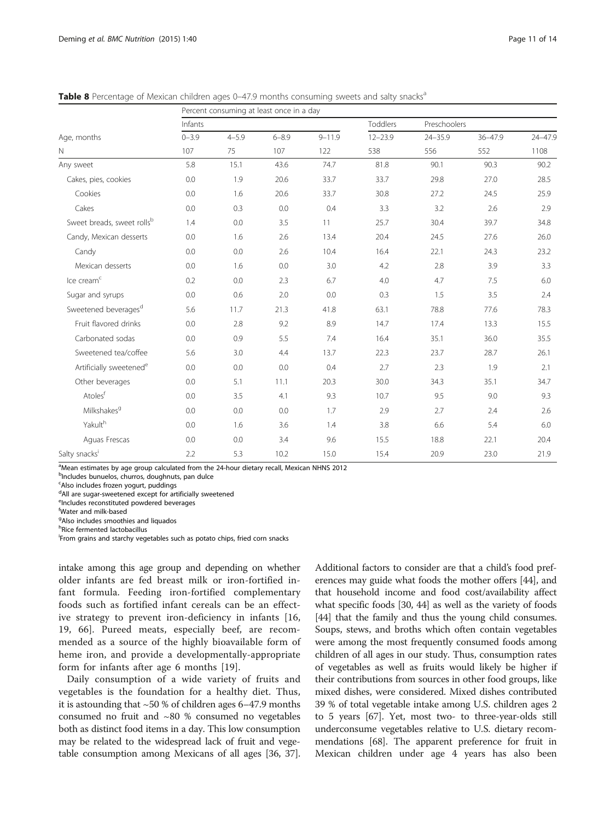|                                     | Percent consuming at least once in a day |           |           |            |             |              |         |         |  |  |
|-------------------------------------|------------------------------------------|-----------|-----------|------------|-------------|--------------|---------|---------|--|--|
|                                     | Infants                                  |           |           |            | Toddlers    | Preschoolers |         |         |  |  |
| Age, months                         | $0 - 3.9$                                | $4 - 5.9$ | $6 - 8.9$ | $9 - 11.9$ | $12 - 23.9$ | 24-35.9      | 36-47.9 | 24-47.9 |  |  |
| N                                   | 107                                      | 75        | 107       | 122        | 538         | 556          | 552     | 1108    |  |  |
| Any sweet                           | 5.8                                      | 15.1      | 43.6      | 74.7       | 81.8        | 90.1         | 90.3    | 90.2    |  |  |
| Cakes, pies, cookies                | 0.0                                      | 1.9       | 20.6      | 33.7       | 33.7        | 29.8         | 27.0    | 28.5    |  |  |
| Cookies                             | 0.0                                      | 1.6       | 20.6      | 33.7       | 30.8        | 27.2         | 24.5    | 25.9    |  |  |
| Cakes                               | 0.0                                      | 0.3       | 0.0       | 0.4        | 3.3         | 3.2          | 2.6     | 2.9     |  |  |
| Sweet breads, sweet rollsb          | 1.4                                      | 0.0       | 3.5       | 11         | 25.7        | 30.4         | 39.7    | 34.8    |  |  |
| Candy, Mexican desserts             | 0.0                                      | 1.6       | 2.6       | 13.4       | 20.4        | 24.5         | 27.6    | 26.0    |  |  |
| Candy                               | 0.0                                      | 0.0       | 2.6       | 10.4       | 16.4        | 22.1         | 24.3    | 23.2    |  |  |
| Mexican desserts                    | 0.0                                      | 1.6       | 0.0       | 3.0        | 4.2         | 2.8          | 3.9     | 3.3     |  |  |
| Ice cream <sup>c</sup>              | 0.2                                      | 0.0       | 2.3       | 6.7        | 4.0         | 4.7          | 7.5     | 6.0     |  |  |
| Sugar and syrups                    | 0.0                                      | 0.6       | 2.0       | 0.0        | 0.3         | 1.5          | 3.5     | 2.4     |  |  |
| Sweetened beverages <sup>d</sup>    | 5.6                                      | 11.7      | 21.3      | 41.8       | 63.1        | 78.8         | 77.6    | 78.3    |  |  |
| Fruit flavored drinks               | 0.0                                      | 2.8       | 9.2       | 8.9        | 14.7        | 17.4         | 13.3    | 15.5    |  |  |
| Carbonated sodas                    | 0.0                                      | 0.9       | 5.5       | 7.4        | 16.4        | 35.1         | 36.0    | 35.5    |  |  |
| Sweetened tea/coffee                | 5.6                                      | 3.0       | 4.4       | 13.7       | 22.3        | 23.7         | 28.7    | 26.1    |  |  |
| Artificially sweetened <sup>e</sup> | 0.0                                      | 0.0       | 0.0       | 0.4        | 2.7         | 2.3          | 1.9     | 2.1     |  |  |
| Other beverages                     | 0.0                                      | 5.1       | 11.1      | 20.3       | 30.0        | 34.3         | 35.1    | 34.7    |  |  |
| Atolesf                             | 0.0                                      | 3.5       | 4.1       | 9.3        | 10.7        | 9.5          | 9.0     | 9.3     |  |  |
| Milkshakes <sup>9</sup>             | 0.0                                      | 0.0       | 0.0       | 1.7        | 2.9         | 2.7          | 2.4     | 2.6     |  |  |
| Yakult <sup>h</sup>                 | 0.0                                      | 1.6       | 3.6       | 1.4        | 3.8         | 6.6          | 5.4     | 6.0     |  |  |

Aguas Frescas 0.0 0.0 3.4 9.6 15.5 18.8 22.1 20.4 Salty snacks<sup>i</sup> 2.2 5.3 10.2 15.0 15.4 20.9 23.0 21.9

<span id="page-10-0"></span>Table 8 Percentage of Mexican children ages 0-47.9 months consuming sweets and salty snacks<sup>a</sup>

<sup>a</sup>Mean estimates by age group calculated from the 24-hour dietary recall, Mexican NHNS 2012

<sup>b</sup>Includes bunuelos, churros, doughnuts, pan dulce

<sup>c</sup>Also includes frozen yogurt, puddings

dAll are sugar-sweetened except for artificially sweetened

eIncludes reconstituted powdered beverages

f Water and milk-based

<sup>g</sup>Also includes smoothies and liquados

<sup>h</sup>Rice fermented lactobacillus

<sup>i</sup>From grains and starchy vegetables such as potato chips, fried corn snacks

intake among this age group and depending on whether older infants are fed breast milk or iron-fortified infant formula. Feeding iron-fortified complementary foods such as fortified infant cereals can be an effective strategy to prevent iron-deficiency in infants [\[16](#page-12-0), [19,](#page-12-0) [66\]](#page-13-0). Pureed meats, especially beef, are recommended as a source of the highly bioavailable form of heme iron, and provide a developmentally-appropriate form for infants after age 6 months [[19](#page-12-0)].

Daily consumption of a wide variety of fruits and vegetables is the foundation for a healthy diet. Thus, it is astounding that ~50 % of children ages 6–47.9 months consumed no fruit and ~80 % consumed no vegetables both as distinct food items in a day. This low consumption may be related to the widespread lack of fruit and vegetable consumption among Mexicans of all ages [[36, 37](#page-13-0)]. Additional factors to consider are that a child's food preferences may guide what foods the mother offers [[44\]](#page-13-0), and that household income and food cost/availability affect what specific foods [\[30, 44](#page-13-0)] as well as the variety of foods [[44](#page-13-0)] that the family and thus the young child consumes. Soups, stews, and broths which often contain vegetables were among the most frequently consumed foods among children of all ages in our study. Thus, consumption rates of vegetables as well as fruits would likely be higher if their contributions from sources in other food groups, like mixed dishes, were considered. Mixed dishes contributed 39 % of total vegetable intake among U.S. children ages 2 to 5 years [\[67](#page-13-0)]. Yet, most two- to three-year-olds still underconsume vegetables relative to U.S. dietary recommendations [\[68\]](#page-13-0). The apparent preference for fruit in Mexican children under age 4 years has also been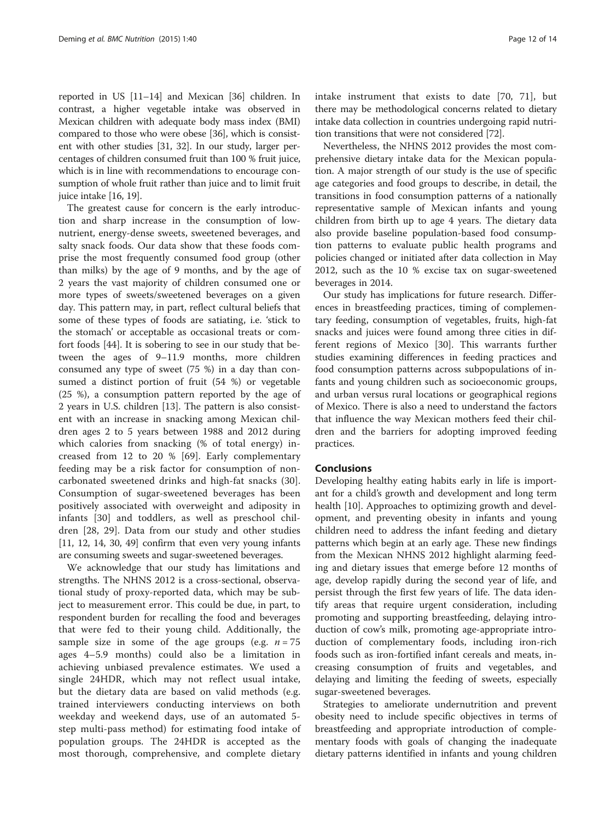reported in US [[11](#page-12-0)–[14\]](#page-12-0) and Mexican [\[36\]](#page-13-0) children. In contrast, a higher vegetable intake was observed in Mexican children with adequate body mass index (BMI) compared to those who were obese [[36](#page-13-0)], which is consistent with other studies [[31, 32](#page-13-0)]. In our study, larger percentages of children consumed fruit than 100 % fruit juice, which is in line with recommendations to encourage consumption of whole fruit rather than juice and to limit fruit juice intake [\[16, 19](#page-12-0)].

The greatest cause for concern is the early introduction and sharp increase in the consumption of lownutrient, energy-dense sweets, sweetened beverages, and salty snack foods. Our data show that these foods comprise the most frequently consumed food group (other than milks) by the age of 9 months, and by the age of 2 years the vast majority of children consumed one or more types of sweets/sweetened beverages on a given day. This pattern may, in part, reflect cultural beliefs that some of these types of foods are satiating, i.e. 'stick to the stomach' or acceptable as occasional treats or comfort foods [[44\]](#page-13-0). It is sobering to see in our study that between the ages of 9–11.9 months, more children consumed any type of sweet (75 %) in a day than consumed a distinct portion of fruit (54 %) or vegetable (25 %), a consumption pattern reported by the age of 2 years in U.S. children [[13\]](#page-12-0). The pattern is also consistent with an increase in snacking among Mexican children ages 2 to 5 years between 1988 and 2012 during which calories from snacking (% of total energy) increased from 12 to 20 % [[69\]](#page-13-0). Early complementary feeding may be a risk factor for consumption of noncarbonated sweetened drinks and high-fat snacks (30]. Consumption of sugar-sweetened beverages has been positively associated with overweight and adiposity in infants [[30\]](#page-13-0) and toddlers, as well as preschool children [[28, 29](#page-12-0)]. Data from our study and other studies  $[11, 12, 14, 30, 49]$  $[11, 12, 14, 30, 49]$  $[11, 12, 14, 30, 49]$  $[11, 12, 14, 30, 49]$  $[11, 12, 14, 30, 49]$  $[11, 12, 14, 30, 49]$  $[11, 12, 14, 30, 49]$  confirm that even very young infants are consuming sweets and sugar-sweetened beverages.

We acknowledge that our study has limitations and strengths. The NHNS 2012 is a cross-sectional, observational study of proxy-reported data, which may be subject to measurement error. This could be due, in part, to respondent burden for recalling the food and beverages that were fed to their young child. Additionally, the sample size in some of the age groups (e.g.  $n = 75$ ages 4–5.9 months) could also be a limitation in achieving unbiased prevalence estimates. We used a single 24HDR, which may not reflect usual intake, but the dietary data are based on valid methods (e.g. trained interviewers conducting interviews on both weekday and weekend days, use of an automated 5 step multi-pass method) for estimating food intake of population groups. The 24HDR is accepted as the most thorough, comprehensive, and complete dietary intake instrument that exists to date [[70, 71\]](#page-13-0), but there may be methodological concerns related to dietary intake data collection in countries undergoing rapid nutrition transitions that were not considered [\[72\]](#page-13-0).

Nevertheless, the NHNS 2012 provides the most comprehensive dietary intake data for the Mexican population. A major strength of our study is the use of specific age categories and food groups to describe, in detail, the transitions in food consumption patterns of a nationally representative sample of Mexican infants and young children from birth up to age 4 years. The dietary data also provide baseline population-based food consumption patterns to evaluate public health programs and policies changed or initiated after data collection in May 2012, such as the 10 % excise tax on sugar-sweetened beverages in 2014.

Our study has implications for future research. Differences in breastfeeding practices, timing of complementary feeding, consumption of vegetables, fruits, high-fat snacks and juices were found among three cities in different regions of Mexico [[30](#page-13-0)]. This warrants further studies examining differences in feeding practices and food consumption patterns across subpopulations of infants and young children such as socioeconomic groups, and urban versus rural locations or geographical regions of Mexico. There is also a need to understand the factors that influence the way Mexican mothers feed their children and the barriers for adopting improved feeding practices.

#### Conclusions

Developing healthy eating habits early in life is important for a child's growth and development and long term health [\[10\]](#page-12-0). Approaches to optimizing growth and development, and preventing obesity in infants and young children need to address the infant feeding and dietary patterns which begin at an early age. These new findings from the Mexican NHNS 2012 highlight alarming feeding and dietary issues that emerge before 12 months of age, develop rapidly during the second year of life, and persist through the first few years of life. The data identify areas that require urgent consideration, including promoting and supporting breastfeeding, delaying introduction of cow's milk, promoting age-appropriate introduction of complementary foods, including iron-rich foods such as iron-fortified infant cereals and meats, increasing consumption of fruits and vegetables, and delaying and limiting the feeding of sweets, especially sugar-sweetened beverages.

Strategies to ameliorate undernutrition and prevent obesity need to include specific objectives in terms of breastfeeding and appropriate introduction of complementary foods with goals of changing the inadequate dietary patterns identified in infants and young children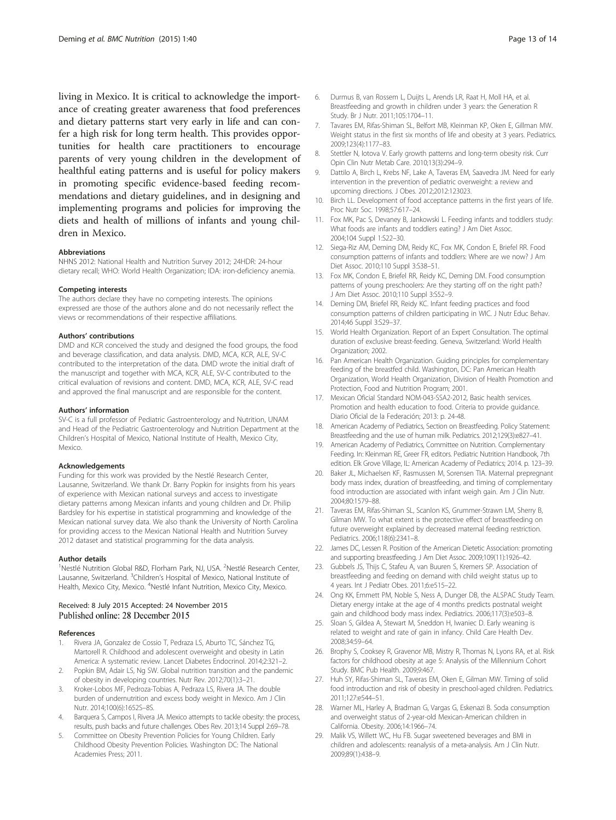<span id="page-12-0"></span>living in Mexico. It is critical to acknowledge the importance of creating greater awareness that food preferences and dietary patterns start very early in life and can confer a high risk for long term health. This provides opportunities for health care practitioners to encourage parents of very young children in the development of healthful eating patterns and is useful for policy makers in promoting specific evidence-based feeding recommendations and dietary guidelines, and in designing and implementing programs and policies for improving the diets and health of millions of infants and young children in Mexico.

#### Abbreviations

NHNS 2012: National Health and Nutrition Survey 2012; 24HDR: 24-hour dietary recall; WHO: World Health Organization; IDA: iron-deficiency anemia.

#### Competing interests

The authors declare they have no competing interests. The opinions expressed are those of the authors alone and do not necessarily reflect the views or recommendations of their respective affiliations.

#### Authors' contributions

DMD and KCR conceived the study and designed the food groups, the food and beverage classification, and data analysis. DMD, MCA, KCR, ALE, SV-C contributed to the interpretation of the data. DMD wrote the initial draft of the manuscript and together with MCA, KCR, ALE, SV-C contributed to the critical evaluation of revisions and content. DMD, MCA, KCR, ALE, SV-C read and approved the final manuscript and are responsible for the content.

#### Authors' information

SV-C is a full professor of Pediatric Gastroenterology and Nutrition, UNAM and Head of the Pediatric Gastroenterology and Nutrition Department at the Children's Hospital of Mexico, National Institute of Health, Mexico City, Mexico.

#### Acknowledgements

Funding for this work was provided by the Nestlé Research Center, Lausanne, Switzerland. We thank Dr. Barry Popkin for insights from his years of experience with Mexican national surveys and access to investigate dietary patterns among Mexican infants and young children and Dr. Philip Bardsley for his expertise in statistical programming and knowledge of the Mexican national survey data. We also thank the University of North Carolina for providing access to the Mexican National Health and Nutrition Survey 2012 dataset and statistical programming for the data analysis.

#### Author details

<sup>1</sup>Nestlé Nutrition Global R&D, Florham Park, NJ, USA. <sup>2</sup>Nestlé Research Center, Lausanne, Switzerland. <sup>3</sup>Children's Hospital of Mexico, National Institute of Health, Mexico City, Mexico. <sup>4</sup>Nestlé Infant Nutrition, Mexico City, Mexico.

# Received: 8 July 2015 Accepted: 24 November 2015

#### References

- 1. Rivera JA, Gonzalez de Cossio T, Pedraza LS, Aburto TC, Sánchez TG, Martorell R. Childhood and adolescent overweight and obesity in Latin America: A systematic review. Lancet Diabetes Endocrinol. 2014;2:321–2.
- 2. Popkin BM, Adair LS, Ng SW. Global nutrition transition and the pandemic of obesity in developing countries. Nutr Rev. 2012;70(1):3–21.
- 3. Kroker-Lobos MF, Pedroza-Tobias A, Pedraza LS, Rivera JA. The double burden of undernutrition and excess body weight in Mexico. Am J Clin Nutr. 2014;100(6):1652S–8S.
- 4. Barquera S, Campos I, Rivera JA. Mexico attempts to tackle obesity: the process, results, push backs and future challenges. Obes Rev. 2013;14 Suppl 2:69–78.
- 5. Committee on Obesity Prevention Policies for Young Children. Early Childhood Obesity Prevention Policies. Washington DC: The National Academies Press; 2011.
- 6. Durmus B, van Rossem L, Duijts L, Arends LR, Raat H, Moll HA, et al. Breastfeeding and growth in children under 3 years: the Generation R Study. Br J Nutr. 2011;105:1704–11.
- 7. Tavares EM, Rifas-Shiman SL, Belfort MB, Kleinman KP, Oken E, Gillman MW. Weight status in the first six months of life and obesity at 3 years. Pediatrics. 2009;123(4):1177–83.
- 8. Stettler N, Iotova V. Early growth patterns and long-term obesity risk. Curr Opin Clin Nutr Metab Care. 2010;13(3):294–9.
- 9. Dattilo A, Birch L, Krebs NF, Lake A, Taveras EM, Saavedra JM. Need for early intervention in the prevention of pediatric overweight: a review and upcoming directions. J Obes. 2012;2012:123023.
- 10. Birch LL. Development of food acceptance patterns in the first years of life. Proc Nutr Soc. 1998;57:617–24.
- 11. Fox MK, Pac S, Devaney B, Jankowski L. Feeding infants and toddlers study: What foods are infants and toddlers eating? J Am Diet Assoc. 2004;104 Suppl 1:S22–30.
- 12. Siega-Riz AM, Deming DM, Reidy KC, Fox MK, Condon E, Briefel RR. Food consumption patterns of infants and toddlers: Where are we now? J Am Diet Assoc. 2010;110 Suppl 3:S38–51.
- 13. Fox MK, Condon E, Briefel RR, Reidy KC, Deming DM. Food consumption patterns of young preschoolers: Are they starting off on the right path? J Am Diet Assoc. 2010;110 Suppl 3:S52–9.
- 14. Deming DM, Briefel RR, Reidy KC. Infant feeding practices and food consumption patterns of children participating in WIC. J Nutr Educ Behav. 2014;46 Suppl 3:S29–37.
- 15. World Health Organization. Report of an Expert Consultation. The optimal duration of exclusive breast-feeding. Geneva, Switzerland: World Health Organization; 2002.
- 16. Pan American Health Organization. Guiding principles for complementary feeding of the breastfed child. Washington, DC: Pan American Health Organization, World Health Organization, Division of Health Promotion and Protection, Food and Nutrition Program; 2001.
- 17. Mexican Oficial Standard NOM-043-SSA2-2012, Basic health services. Promotion and health education to food. Criteria to provide guidance. Diario Oficial de la Federación; 2013: p. 24-48.
- 18. American Academy of Pediatrics, Section on Breastfeeding. Policy Statement: Breastfeeding and the use of human milk. Pediatrics. 2012;129(3):e827–41.
- 19. American Academy of Pediatrics, Committee on Nutrition. Complementary Feeding. In: Kleinman RE, Greer FR, editors. Pediatric Nutrition Handbook, 7th edition. Elk Grove Village, IL: American Academy of Pediatrics; 2014. p. 123–39.
- 20. Baker JL, Michaelsen KF, Rasmussen M, Sorensen TIA. Maternal prepregnant body mass index, duration of breastfeeding, and timing of complementary food introduction are associated with infant weigh gain. Am J Clin Nutr. 2004;80:1579–88.
- 21. Taveras EM, Rifas-Shiman SL, Scanlon KS, Grummer-Strawn LM, Sherry B, Gilman MW. To what extent is the protective effect of breastfeeding on future overweight explained by decreased maternal feeding restriction. Pediatrics. 2006;118(6):2341–8.
- 22. James DC, Lessen R. Position of the American Dietetic Association: promoting and supporting breastfeeding. J Am Diet Assoc. 2009;109(11):1926–42.
- 23. Gubbels JS, Thijs C, Stafeu A, van Buuren S, Kremers SP. Association of breastfeeding and feeding on demand with child weight status up to 4 years. Int J Pediatr Obes. 2011;6:e515–22.
- 24. Ong KK, Emmett PM, Noble S, Ness A, Dunger DB, the ALSPAC Study Team. Dietary energy intake at the age of 4 months predicts postnatal weight gain and childhood body mass index. Pediatrics. 2006;117(3):e503–8.
- 25. Sloan S, Gildea A, Stewart M, Sneddon H, Iwaniec D. Early weaning is related to weight and rate of gain in infancy. Child Care Health Dev. 2008;34:59–64.
- 26. Brophy S, Cooksey R, Gravenor MB, Mistry R, Thomas N, Lyons RA, et al. Risk factors for childhood obesity at age 5: Analysis of the Millennium Cohort Study. BMC Pub Health. 2009;9:467.
- 27. Huh SY, Rifas-Shiman SL, Taveras EM, Oken E, Gilman MW. Timing of solid food introduction and risk of obesity in preschool-aged children. Pediatrics. 2011;127:e544–51.
- 28. Warner ML, Harley A, Bradman G, Vargas G, Eskenazi B. Soda consumption and overweight status of 2-year-old Mexican-American children in California. Obesity. 2006;14:1966–74.
- 29. Malik VS, Willett WC, Hu FB. Sugar sweetened beverages and BMI in children and adolescents: reanalysis of a meta-analysis. Am J Clin Nutr. 2009;89(1):438–9.